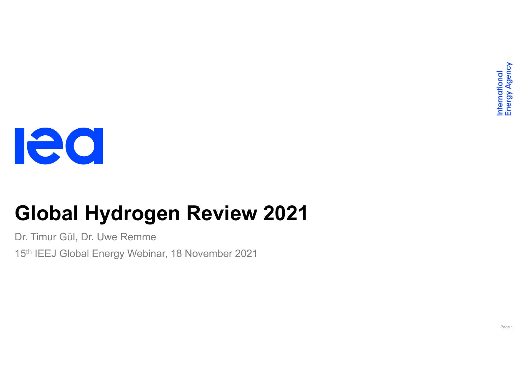

# **Global Hydrogen Review 2021**

Dr. Timur Gül, Dr. Uwe Remme

15th IEEJ Global Energy Webinar, 18 November 2021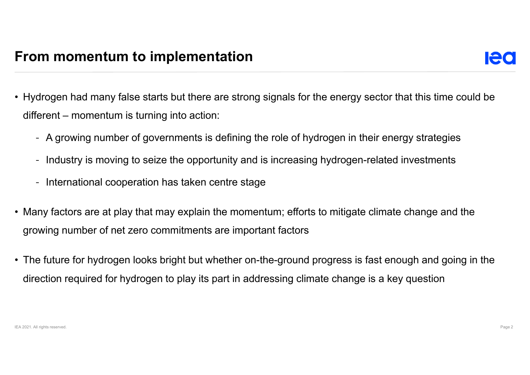- Hydrogen had many false starts but there are strong signals for the energy sector that this time could be different – momentum is turning into action:
	- A growing number of governments is defining the role of hydrogen in their energy strategies
	- Industry is moving to seize the opportunity and is increasing hydrogen-related investments
	- International cooperation has taken centre stage
- Many factors are at play that may explain the momentum; efforts to mitigate climate change and the growing number of net zero commitments are important factors
- The future for hydrogen looks bright but whether on-the-ground progress is fast enough and going in the direction required for hydrogen to play its part in addressing climate change is a key question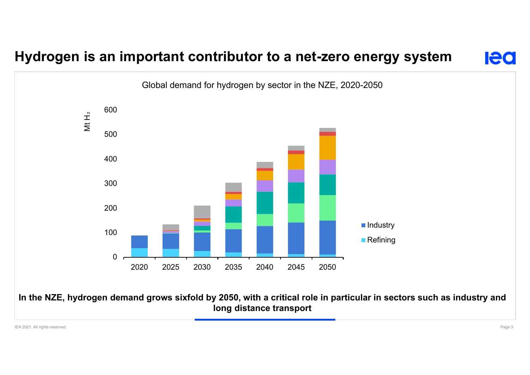## **Hydrogen is an important contributor to a net-zero energy system**



**IAC**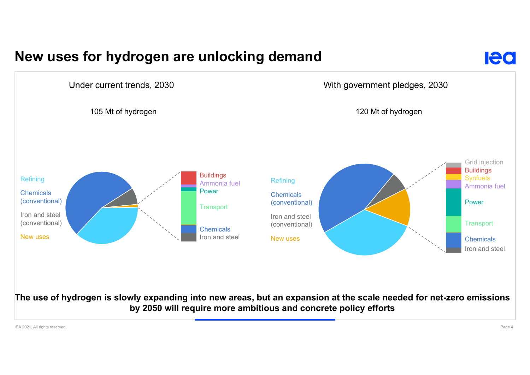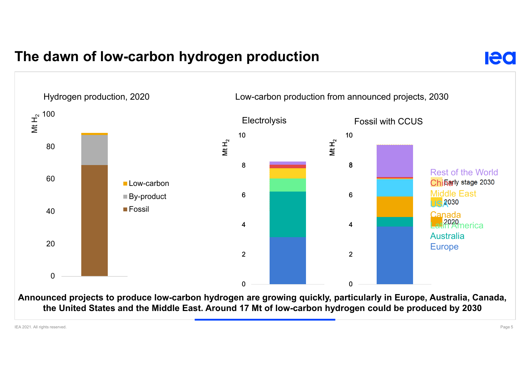### **The dawn of low-carbon hydrogen production**



**Announced projects to produce low-carbon hydrogen are growing quickly, particularly in Europe, Australia, Canada, the United States and the Middle East. Around 17 Mt of low-carbon hydrogen could be produced by 2030**

IEA 2021. All rights reserved. Page 5

**Ieo**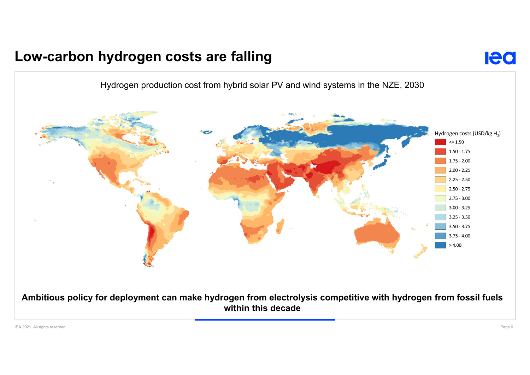#### **Low-carbon hydrogen costs are falling**



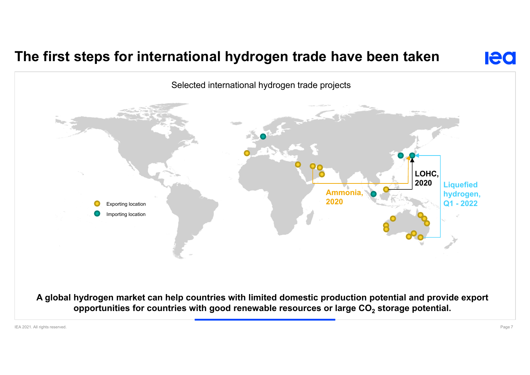### **The first steps for international hydrogen trade have been taken**



**Ieo**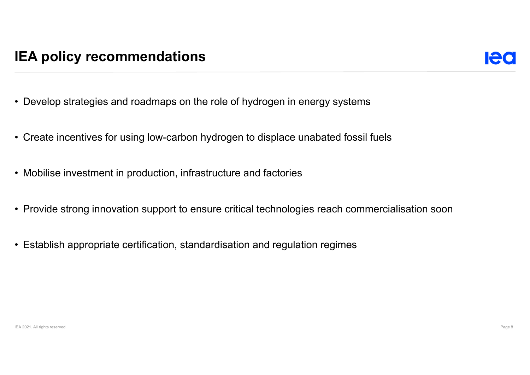- Develop strategies and roadmaps on the role of hydrogen in energy systems
- Create incentives for using low-carbon hydrogen to displace unabated fossil fuels
- Mobilise investment in production, infrastructure and factories
- Provide strong innovation support to ensure critical technologies reach commercialisation soon
- Establish appropriate certification, standardisation and regulation regimes